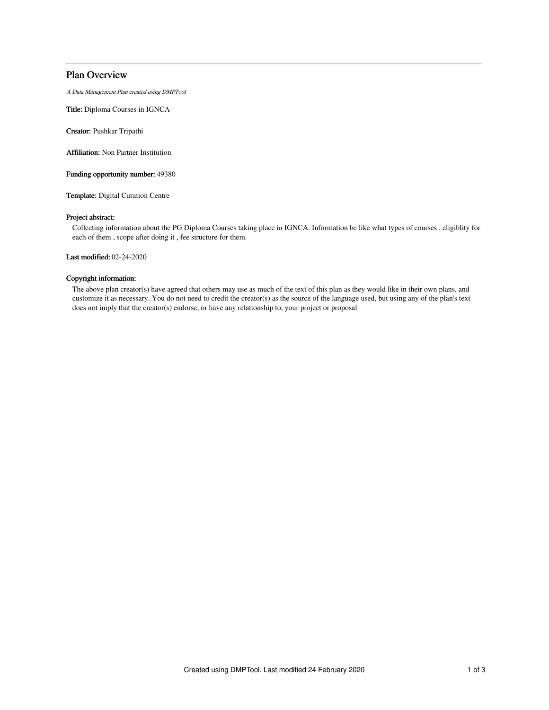# Plan Overview

A Data Management Plan created using DMPTool

Title: Diploma Courses in IGNCA

Creator: Pushkar Tripathi

Affiliation: Non Partner Institution

Funding opportunity number: 49380

Template: Digital Curation Centre

## Project abstract:

Collecting information about the PG Diploma Courses taking place in IGNCA. Information be like what types of courses , eligiblity for each of them , scope after doing it , fee structure for them.

Last modified: 02-24-2020

### Copyright information:

The above plan creator(s) have agreed that others may use as much of the text of this plan as they would like in their own plans, and customize it as necessary. You do not need to credit the creator(s) as the source of the language used, but using any of the plan's text does not imply that the creator(s) endorse, or have any relationship to, your project or proposal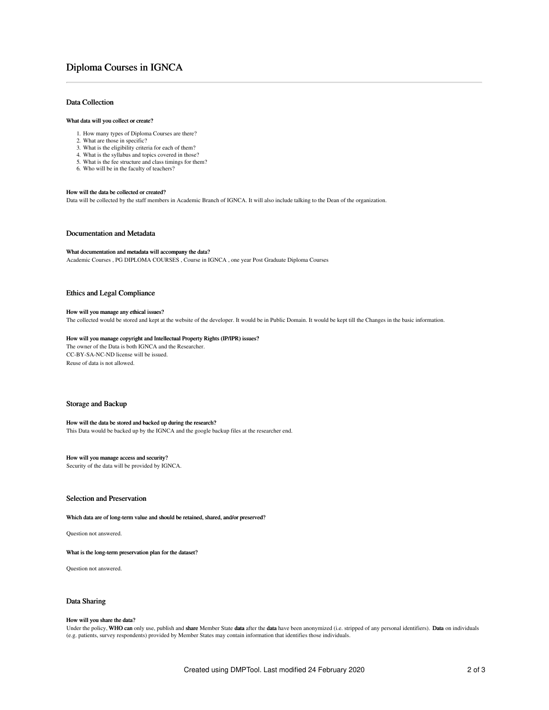# Diploma Courses in IGNCA

## Data Collection

#### What data will you collect or create?

- 1. How many types of Diploma Courses are there?
- 2. What are those in specific?
- 3. What is the eligibility criteria for each of them?
- 4. What is the syllabus and topics covered in those?
- 5. What is the fee structure and class timings for them?
- 6. Who will be in the faculty of teachers?

#### How will the data be collected or created?

Data will be collected by the staff members in Academic Branch of IGNCA. It will also include talking to the Dean of the organization.

### Documentation and Metadata

#### What documentation and metadata will accompany the data?

Academic Courses , PG DIPLOMA COURSES , Course in IGNCA , one year Post Graduate Diploma Courses

#### Ethics and Legal Compliance

#### How will you manage any ethical issues?

The collected would be stored and kept at the website of the developer. It would be in Public Domain. It would be kept till the Changes in the basic information.

#### How will you manage copyright and Intellectual Property Rights (IP/IPR) issues?

The owner of the Data is both IGNCA and the Researcher. CC-BY-SA-NC-ND license will be issued. Reuse of data is not allowed.

## Storage and Backup

#### How will the data be stored and backed up during the research?

This Data would be backed up by the IGNCA and the google backup files at the researcher end.

## How will you manage access and security?

Security of the data will be provided by IGNCA.

## Selection and Preservation

Which data are of long-term value and should be retained, shared, and/or preserved?

Question not answered.

What is the long-term preservation plan for the dataset?

Question not answered.

## Data Sharing

#### How will you share the data?

Under the policy, WHO can only use, publish and share Member State data after the data have been anonymized (i.e. stripped of any personal identifiers). Data on individuals (e.g. patients, survey respondents) provided by Member States may contain information that identifies those individuals.